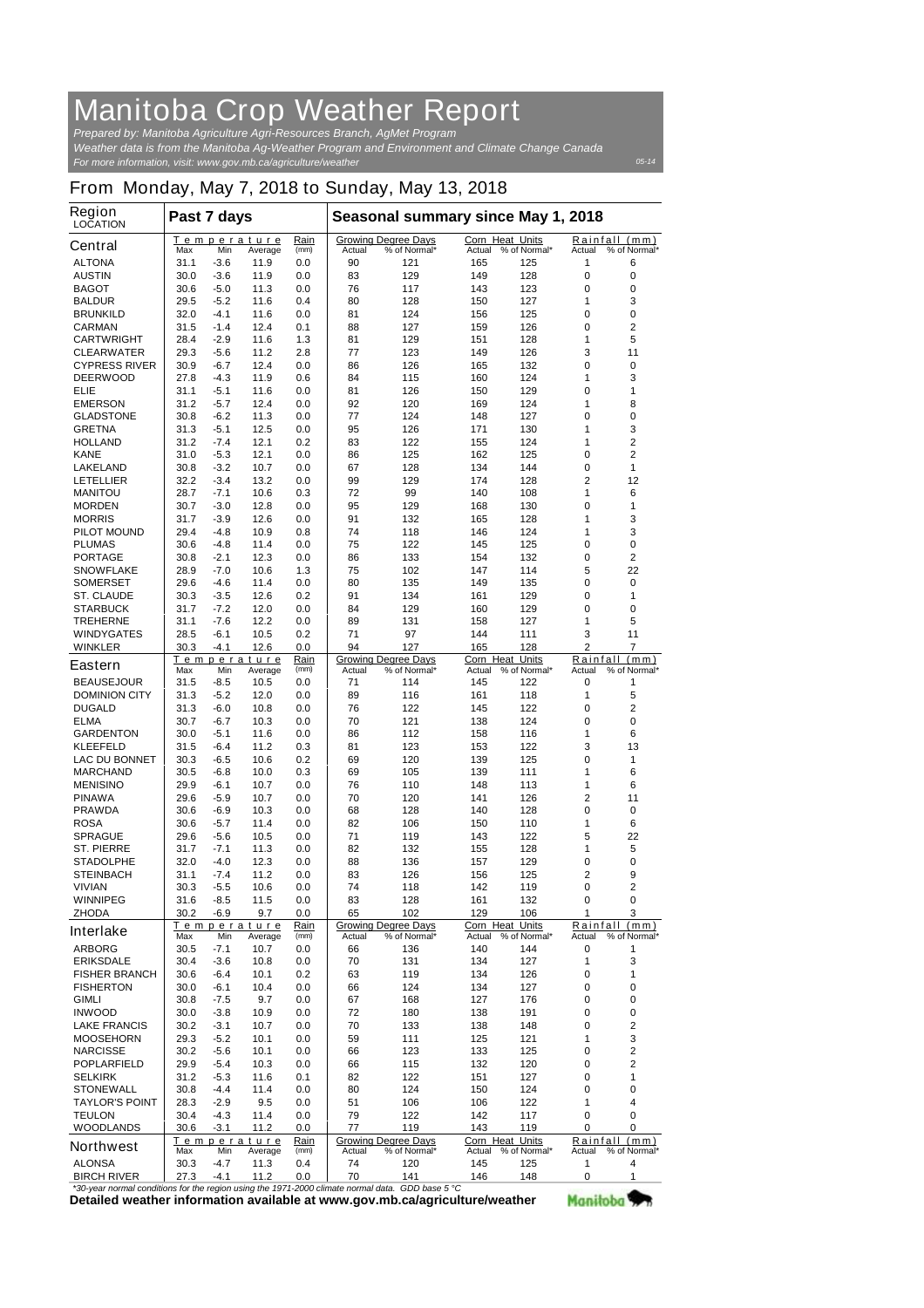## **Manitoba Crop Weather Report**

*For more information, visit: www.gov.mb.ca/agriculture/weather Prepared by: Manitoba Agriculture Agri-Resources Branch, AgMet Program Weather data is from the Manitoba Ag-Weather Program and Environment and Climate Change Canada*

## **From Monday, May 7, 2018 to Sunday, May 13, 2018**

| Region<br><b>LOCATION</b>                                                                        | Past 7 days |        |                               |              | Seasonal summary since May 1, 2018                   |                            |                                  |                     |                                         |               |  |
|--------------------------------------------------------------------------------------------------|-------------|--------|-------------------------------|--------------|------------------------------------------------------|----------------------------|----------------------------------|---------------------|-----------------------------------------|---------------|--|
| <b>Central</b>                                                                                   | Max         | Min    | <b>Temperature</b><br>Average | Rain<br>(mm) | <b>Growing Degree Days</b><br>% of Normal*<br>Actual |                            | <b>Corn Heat Units</b><br>Actual | % of Normal*        | Rainfall (mm)<br>% of Normal*<br>Actual |               |  |
| <b>ALTONA</b>                                                                                    | 31.1        | $-3.6$ | 11.9                          | 0.0          | 90                                                   | 121                        | 165                              | 125                 | 1                                       | 6             |  |
| <b>AUSTIN</b>                                                                                    | 30.0        | $-3.6$ | 11.9                          | 0.0          | 83                                                   | 129                        | 149                              | 128                 | 0                                       | 0             |  |
| <b>BAGOT</b>                                                                                     | 30.6        | $-5.0$ | 11.3                          | 0.0          | 76                                                   | 117                        | 143                              | 123                 | 0                                       | 0             |  |
| <b>BALDUR</b>                                                                                    | 29.5        | $-5.2$ | 11.6                          | 0.4          | 80                                                   | 128                        | 150                              | 127                 | 1                                       | 3             |  |
| <b>BRUNKILD</b>                                                                                  | 32.0        | -4.1   | 11.6                          | 0.0          | 81                                                   | 124                        | 156                              | 125                 | 0                                       | 0             |  |
| <b>CARMAN</b>                                                                                    | 31.5        | -1.4   | 12.4                          | 0.1          | 88                                                   | 127                        | 159                              | 126                 | 0                                       | 2             |  |
| <b>CARTWRIGHT</b>                                                                                | 28.4        | $-2.9$ | 11.6                          | 1.3          | 81                                                   | 129                        | 151                              | 128                 | 1                                       | 5             |  |
| <b>CLEARWATER</b>                                                                                | 29.3        | -5.6   | 11.2                          | 2.8          | 77                                                   | 123                        | 149                              | 126                 | 3                                       | 11            |  |
| <b>CYPRESS RIVER</b>                                                                             | 30.9        | $-6.7$ | 12.4                          | 0.0          | 86                                                   | 126                        | 165                              | 132                 | 0                                       | 0             |  |
| <b>DEERWOOD</b>                                                                                  | 27.8        | $-4.3$ | 11.9                          | 0.6          | 84                                                   | 115                        | 160                              | 124                 | 1                                       | 3             |  |
| <b>ELIE</b>                                                                                      | 31.1        | $-5.1$ | 11.6                          | 0.0          | 81                                                   | 126                        | 150                              | 129                 | 0                                       | 1             |  |
| <b>EMERSON</b>                                                                                   | 31.2        | $-5.7$ | 12.4                          | 0.0          | 92                                                   | 120                        | 169                              | 124                 | 1                                       | 8             |  |
| <b>GLADSTONE</b>                                                                                 | 30.8        | $-6.2$ | 11.3                          | 0.0          | 77                                                   | 124                        | 148                              | 127                 | 0                                       | 0             |  |
| <b>GRETNA</b>                                                                                    | 31.3        | $-5.1$ | 12.5                          | 0.0          | 95                                                   | 126                        | 171                              | 130                 | 1                                       | 3             |  |
| <b>HOLLAND</b>                                                                                   | 31.2        | -7.4   | 12.1                          | 0.2          | 83                                                   | 122                        | 155                              | 124                 | 1                                       | 2             |  |
| <b>KANE</b>                                                                                      | 31.0        | $-5.3$ | 12.1                          | 0.0          | 86                                                   | 125                        | 162                              | 125                 | 0                                       | 2             |  |
| <b>LAKELAND</b>                                                                                  | 30.8        | $-3.2$ | 10.7                          | 0.0          | 67                                                   | 128                        | 134                              | 144                 | 0                                       | 1             |  |
| <b>LETELLIER</b>                                                                                 | 32.2        | $-3.4$ | 13.2                          | 0.0          | 99                                                   | 129                        | 174                              | 128                 | $\overline{2}$                          | 12            |  |
| <b>MANITOU</b>                                                                                   | 28.7        | -7.1   | 10.6                          | 0.3          | 72                                                   | 99                         | 140                              | 108                 | 1                                       | 6             |  |
| <b>MORDEN</b>                                                                                    | 30.7        | $-3.0$ | 12.8                          | 0.0          | 95                                                   | 129                        | 168                              | 130                 | 0                                       | 1             |  |
| <b>MORRIS</b>                                                                                    | 31.7        | $-3.9$ | 12.6                          | 0.0          | 91                                                   | 132                        | 165                              | 128                 | 1                                       | 3             |  |
| <b>PILOT MOUND</b>                                                                               | 29.4        | $-4.8$ | 10.9                          | 0.8          | 74                                                   | 118                        | 146                              | 124                 | 1                                       | 3             |  |
| <b>PLUMAS</b>                                                                                    | 30.6        | -4.8   | 11.4                          | 0.0          | 75                                                   | 122                        | 145                              | 125                 | 0                                       | 0             |  |
| <b>PORTAGE</b>                                                                                   | 30.8        | $-2.1$ | 12.3                          | 0.0          | 86                                                   | 133                        | 154                              | 132                 | 0                                       | 2             |  |
| <b>SNOWFLAKE</b>                                                                                 | 28.9        | $-7.0$ | 10.6                          | 1.3          | 75                                                   | 102                        | 147                              | 114                 | 5                                       | 22            |  |
| <b>SOMERSET</b>                                                                                  | 29.6        | -4.6   | 11.4                          | 0.0          | 80                                                   | 135                        | 149                              | 135                 | 0                                       | 0             |  |
| <b>ST. CLAUDE</b>                                                                                | 30.3        | $-3.5$ | 12.6                          | 0.2          | 91                                                   | 134                        | 161                              | 129                 | 0                                       | 1             |  |
| <b>STARBUCK</b>                                                                                  | 31.7        | -7.2   | 12.0                          | 0.0          | 84                                                   | 129                        | 160                              | 129                 | 0                                       | 0             |  |
| <b>TREHERNE</b>                                                                                  | 31.1        | $-7.6$ | 12.2                          | 0.0          | 89                                                   | 131                        | 158                              | 127                 | 1                                       | 5             |  |
| <b>WINDYGATES</b>                                                                                | 28.5        | $-6.1$ | 10.5                          | 0.2          | 71                                                   | 97                         | 144                              | 111                 | 3                                       | 11            |  |
| <b>WINKLER</b>                                                                                   | 30.3        | $-4.1$ | 12.6                          | 0.0          | 94                                                   | 127                        | 165                              | 128                 | $\overline{2}$                          | 7             |  |
|                                                                                                  |             |        | <u>Temperature</u>            | Rain         |                                                      | <b>Growing Degree Days</b> | Corn Heat Units                  |                     |                                         | Rainfall (mm) |  |
| <b>Eastern</b>                                                                                   | Max         | Min    | Average                       | (mm)         | Actual                                               | % of Normal*               |                                  | Actual % of Normal* | Actual                                  | % of Normal*  |  |
| <b>BEAUSEJOUR</b>                                                                                | 31.5        | -8.5   | 10.5                          | 0.0          | 71                                                   | 114                        | 145                              | 122                 | 0                                       | 1             |  |
| <b>DOMINION CITY</b>                                                                             | 31.3        | $-5.2$ | 12.0                          | 0.0          | 89                                                   | 116                        | 161                              | 118                 | 1                                       | 5             |  |
| <b>DUGALD</b>                                                                                    | 31.3        | -6.0   | 10.8                          | 0.0          | 76                                                   | 122                        | 145                              | 122                 | 0                                       | 2             |  |
| <b>ELMA</b>                                                                                      | 30.7        | $-6.7$ | 10.3                          | 0.0          | 70                                                   | 121                        | 138                              | 124                 | 0                                       | 0             |  |
| <b>GARDENTON</b>                                                                                 | 30.0        | $-5.1$ | 11.6                          | 0.0          | 86                                                   | 112                        | 158                              | 116                 | 1                                       | 6             |  |
| <b>KLEEFELD</b>                                                                                  | 31.5        | -6.4   | 11.2                          | 0.3          | 81                                                   | 123                        | 153                              | 122                 | 3                                       | 13            |  |
| <b>LAC DU BONNET</b>                                                                             | 30.3        | -6.5   | 10.6                          | 0.2          | 69                                                   | 120                        | 139                              | 125                 | 0                                       | 1             |  |
| <b>MARCHAND</b>                                                                                  | 30.5        | $-6.8$ | 10.0                          | 0.3          | 69                                                   | 105                        | 139                              | 111                 | 1                                       | 6             |  |
| <b>MENISINO</b>                                                                                  | 29.9        | -6.1   | 10.7                          | 0.0          | 76                                                   | 110                        | 148                              | 113                 | 1                                       | 6             |  |
| <b>PINAWA</b>                                                                                    | 29.6        | $-5.9$ | 10.7                          | 0.0          | 70                                                   | 120                        | 141                              | 126                 | 2                                       | 11            |  |
| <b>PRAWDA</b>                                                                                    | 30.6        | $-6.9$ | 10.3                          | 0.0          | 68                                                   | 128                        | 140                              | 128                 | 0                                       | 0             |  |
| <b>ROSA</b>                                                                                      | 30.6        | $-5.7$ | 11.4                          | 0.0          | 82                                                   | 106                        | 150                              | 110                 | 1                                       | 6             |  |
| <b>SPRAGUE</b>                                                                                   | 29.6        | $-5.6$ | 10.5                          | 0.0          | 71                                                   | 119                        | 143                              | 122                 | 5                                       | 22            |  |
| <b>ST. PIERRE</b>                                                                                | 31.7        | $-7.1$ | 11.3                          | 0.0          | 82                                                   | 132                        | 155                              | 128                 | 1                                       | 5             |  |
| <b>STADOLPHE</b>                                                                                 | 32.0        | -4.0   | 12.3                          | 0.0          | 88                                                   | 136                        | 157                              | 129                 | 0                                       | 0             |  |
| <b>STEINBACH</b>                                                                                 | 31.1        | -7.4   | 11.2                          | 0.0          | 83                                                   | 126                        | 156                              | 125                 | 2                                       | 9             |  |
| <b>VIVIAN</b>                                                                                    | 30.3        | $-5.5$ | 10.6                          | 0.0          | 74                                                   | 118                        | 142                              | 119                 | 0                                       | 2             |  |
|                                                                                                  |             |        |                               |              |                                                      |                            |                                  |                     |                                         |               |  |
| <b>WINNIPEG</b>                                                                                  | 31.6        | -8.5   | 11.5                          | 0.0          | 83                                                   | 128                        | 161                              | 132                 | 0                                       | 0             |  |
| <b>ZHODA</b>                                                                                     | 30.2        | $-6.9$ | 9.7                           | 0.0          | 65                                                   | 102                        | 129<br>Corn Heat Units           | 106                 | 1                                       | 3             |  |
| <b>Interlake</b>                                                                                 | Max         | Min    | Temperature<br>Average        | Rain<br>(mm) | <b>Growing Degree Days</b><br>% of Normal*<br>Actual |                            |                                  | Actual % of Normal* | Rainfall (mm)<br>% of Normal*<br>Actual |               |  |
| <b>ARBORG</b>                                                                                    | 30.5        | $-7.1$ | 10.7                          | 0.0          | 66                                                   | 136                        | 140                              | 144                 | 0                                       | 1             |  |
| <b>ERIKSDALE</b>                                                                                 | 30.4        | $-3.6$ | 10.8                          | 0.0          | 70                                                   | 131                        | 134                              | 127                 | 1                                       | 3             |  |
| <b>FISHER BRANCH</b>                                                                             | 30.6        | -6.4   | 10.1                          | 0.2          | 63                                                   | 119                        | 134                              | 126                 | 0                                       | 1             |  |
| <b>FISHERTON</b>                                                                                 | 30.0        | -6.1   | 10.4                          | 0.0          | 66                                                   | 124                        | 134                              | 127                 | 0                                       | 0             |  |
|                                                                                                  |             | $-7.5$ |                               |              |                                                      |                            |                                  |                     |                                         |               |  |
| <b>GIMLI</b>                                                                                     | 30.8        |        | 9.7                           | 0.0          | 67                                                   | 168                        | 127                              | 176                 | 0                                       | 0             |  |
| <b>INWOOD</b>                                                                                    | 30.0        | $-3.8$ | 10.9                          | 0.0          | 72                                                   | 180                        | 138                              | 191                 | 0                                       | 0             |  |
| <b>LAKE FRANCIS</b>                                                                              | 30.2        | $-3.1$ | 10.7                          | 0.0          | 70                                                   | 133                        | 138                              | 148                 | 0                                       | 2             |  |
| <b>MOOSEHORN</b>                                                                                 | 29.3        | $-5.2$ | 10.1                          | 0.0          | 59                                                   | 111                        | 125                              | 121                 | 1                                       | 3             |  |
| <b>NARCISSE</b>                                                                                  | 30.2        | $-5.6$ | 10.1                          | 0.0          | 66                                                   | 123                        | 133                              | 125                 | 0                                       | 2             |  |
| <b>POPLARFIELD</b>                                                                               | 29.9        | -5.4   | 10.3                          | 0.0          | 66                                                   | 115                        | 132                              | 120                 | 0                                       | 2             |  |
| <b>SELKIRK</b>                                                                                   | 31.2        | $-5.3$ | 11.6                          | 0.1          | 82                                                   | 122                        | 151                              | 127                 | 0                                       | 1             |  |
| <b>STONEWALL</b>                                                                                 | 30.8        | -4.4   | 11.4                          | 0.0          | 80                                                   | 124                        | 150                              | 124                 | 0                                       | 0             |  |
| <b>TAYLOR'S POINT</b>                                                                            | 28.3        | $-2.9$ | 9.5                           | 0.0          | 51                                                   | 106                        | 106                              | 122                 | 1                                       | 4             |  |
| <b>TEULON</b>                                                                                    | 30.4        | $-4.3$ | 11.4                          | 0.0          | 79                                                   | 122                        | 142                              | 117                 | 0                                       | 0             |  |
| <b>WOODLANDS</b>                                                                                 | 30.6        | $-3.1$ | 11.2                          | 0.0          | 77                                                   | 119                        | 143                              | 119                 | 0                                       | 0             |  |
| <b>Northwest</b>                                                                                 |             |        | Temperature                   | <u>Rain</u>  |                                                      | <b>Growing Degree Days</b> | Corn Heat Units                  |                     | <u>Rainfall</u>                         | (mm)          |  |
|                                                                                                  | Max         | Min    | Average                       | (mm)         | Actual                                               | % of Normal*               | Actual                           | % of Normal*        | Actual                                  | % of Normal*  |  |
| <b>ALONSA</b>                                                                                    | 30.3        | $-4.7$ | 11.3                          | 0.4          | 74                                                   | 120                        | 145                              | 125                 | 1                                       | 4             |  |
| <b>BIRCH RIVER</b>                                                                               | 27.3        | $-4.1$ | 11.2                          | 0.0          | 70                                                   | 141                        | 146                              | 148                 | 0                                       | 1             |  |
| *30-year normal conditions for the region using the 1971-2000 climate normal data. GDD base 5 °C |             |        |                               |              |                                                      |                            |                                  |                     |                                         |               |  |

**Detailed weather information available at www.gov.mb.ca/agriculture/weather** *\*30-year normal conditions for the region using the 1971-2000 climate normal data. GDD base 5 °C* Manitoba<sup>y</sup>